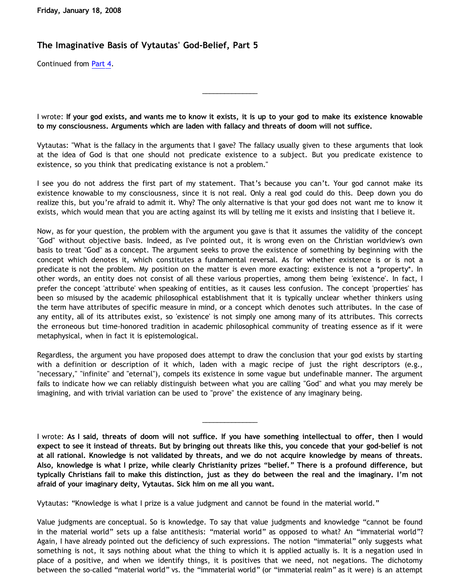## **The Imaginative Basis of Vytautas' God-Belief, Part 5**

Continued from [Part 4.](http://bahnsenburner.blogspot.com/2008/01/imaginative-basis-of-vytautas-god_17.html)

I wrote: **If your god exists, and wants me to know it exists, it is up to your god to make its existence knowable to my consciousness. Arguments which are laden with fallacy and threats of doom will not suffice.**

\_\_\_\_\_\_\_\_\_\_\_\_\_\_\_

Vytautas: "What is the fallacy in the arguments that I gave? The fallacy usually given to these arguments that look at the idea of God is that one should not predicate existence to a subject. But you predicate existence to existence, so you think that predicating existance is not a problem."

I see you do not address the first part of my statement. That's because you can't. Your god cannot make its existence knowable to my consciousness, since it is not real. Only a real god could do this. Deep down you do realize this, but you're afraid to admit it. Why? The only alternative is that your god does not want me to know it exists, which would mean that you are acting against its will by telling me it exists and insisting that I believe it.

Now, as for your question, the problem with the argument you gave is that it assumes the validity of the concept "God" without objective basis. Indeed, as I've pointed out, it is wrong even on the Christian worldview's own basis to treat "God" as a concept. The argument seeks to prove the existence of something by beginning with the concept which denotes it, which constitutes a fundamental reversal. As for whether existence is or is not a predicate is not the problem. My position on the matter is even more exacting: existence is not a \*property\*. In other words, an entity does not consist of all these various properties, among them being 'existence'. In fact, I prefer the concept 'attribute' when speaking of entities, as it causes less confusion. The concept 'properties' has been so misused by the academic philosophical establishment that it is typically unclear whether thinkers using the term have attributes of specific measure in mind, or a concept which denotes such attributes. In the case of any entity, all of its attributes exist, so 'existence' is not simply one among many of its attributes. This corrects the erroneous but time-honored tradition in academic philosophical community of treating essence as if it were metaphysical, when in fact it is epistemological.

Regardless, the argument you have proposed does attempt to draw the conclusion that your god exists by starting with a definition or description of it which, laden with a magic recipe of just the right descriptors (e.g., "necessary," "infinite" and "eternal"), compels its existence in some vague but undefinable manner. The argument fails to indicate how we can reliably distinguish between what you are calling "God" and what you may merely be imagining, and with trivial variation can be used to "prove" the existence of any imaginary being.

I wrote: **As I said, threats of doom will not suffice. If you have something intellectual to offer, then I would expect to see it instead of threats. But by bringing out threats like this, you concede that your god-belief is not at all rational. Knowledge is not validated by threats, and we do not acquire knowledge by means of threats. Also, knowledge is what I prize, while clearly Christianity prizes "belief." There is a profound difference, but typically Christians fail to make this distinction, just as they do between the real and the imaginary. I'm not afraid of your imaginary deity, Vytautas. Sick him on me all you want.**

\_\_\_\_\_\_\_\_\_\_\_\_\_\_\_

Vytautas: "Knowledge is what I prize is a value judgment and cannot be found in the material world."

Value judgments are conceptual. So is knowledge. To say that value judgments and knowledge "cannot be found in the material world" sets up a false antithesis: "material world" as opposed to what? An "immaterial world"? Again, I have already pointed out the deficiency of such expressions. The notion "immaterial" only suggests what something is not, it says nothing about what the thing to which it is applied actually is. It is a negation used in place of a positive, and when we identify things, it is positives that we need, not negations. The dichotomy between the so-called "material world" vs. the "immaterial world" (or "immaterial realm" as it were) is an attempt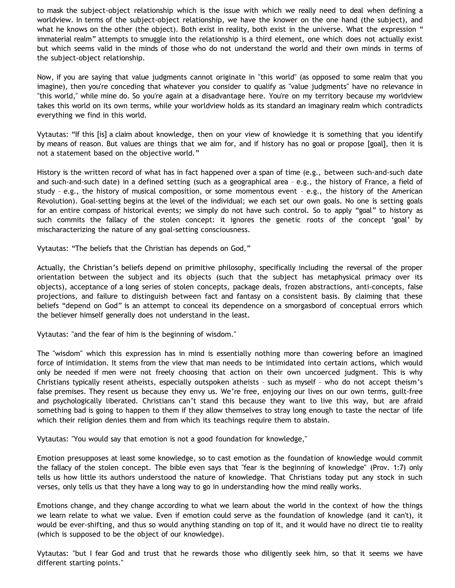to mask the subject-object relationship which is the issue with which we really need to deal when defining a worldview. In terms of the subject-object relationship, we have the knower on the one hand (the subject), and what he knows on the other (the object). Both exist in reality, both exist in the universe. What the expression " immaterial realm" attempts to smuggle into the relationship is a third element, one which does not actually exist but which seems valid in the minds of those who do not understand the world and their own minds in terms of the subject-object relationship.

Now, if you are saying that value judgments cannot originate in "this world" (as opposed to some realm that you imagine), then you're conceding that whatever you consider to qualify as "value judgments" have no relevance in "this world," while mine do. So you're again at a disadvantage here. You're on my territory because my worldview takes this world on its own terms, while your worldview holds as its standard an imaginary realm which contradicts everything we find in this world.

Vytautas: "If this [is] a claim about knowledge, then on your view of knowledge it is something that you identify by means of reason. But values are things that we aim for, and if history has no goal or propose [goal], then it is not a statement based on the objective world."

History is the written record of what has in fact happened over a span of time (e.g., between such-and-such date and such-and-such date) in a defined setting (such as a geographical area – e.g., the history of France, a field of study – e.g., the history of musical composition, or some momentous event – e.g., the history of the American Revolution). Goal-setting begins at the level of the individual; we each set our own goals. No one is setting goals for an entire compass of historical events; we simply do not have such control. So to apply "goal" to history as such commits the fallacy of the stolen concept: it ignores the genetic roots of the concept 'goal' by mischaracterizing the nature of any goal-setting consciousness.

Vytautas: "The beliefs that the Christian has depends on God,"

Actually, the Christian's beliefs depend on primitive philosophy, specifically including the reversal of the proper orientation between the subject and its objects (such that the subject has metaphysical primacy over its objects), acceptance of a long series of stolen concepts, package deals, frozen abstractions, anti-concepts, false projections, and failure to distinguish between fact and fantasy on a consistent basis. By claiming that these beliefs "depend on God" is an attempt to conceal its dependence on a smorgasbord of conceptual errors which the believer himself generally does not understand in the least.

Vytautas: "and the fear of him is the beginning of wisdom."

The "wisdom" which this expression has in mind is essentially nothing more than cowering before an imagined force of intimidation. It stems from the view that man needs to be intimidated into certain actions, which would only be needed if men were not freely choosing that action on their own uncoerced judgment. This is why Christians typically resent atheists, especially outspoken atheists – such as myself – who do not accept theism's false premises. They resent us because they envy us. We're free, enjoying our lives on our own terms, guilt-free and psychologically liberated. Christians can't stand this because they want to live this way, but are afraid something bad is going to happen to them if they allow themselves to stray long enough to taste the nectar of life which their religion denies them and from which its teachings require them to abstain.

Vytautas: "You would say that emotion is not a good foundation for knowledge,"

Emotion presupposes at least some knowledge, so to cast emotion as the foundation of knowledge would commit the fallacy of the stolen concept. The bible even says that "fear is the beginning of knowledge" (Prov. 1:7) only tells us how little its authors understood the nature of knowledge. That Christians today put any stock in such verses, only tells us that they have a long way to go in understanding how the mind really works.

Emotions change, and they change according to what we learn about the world in the context of how the things we learn relate to what we value. Even if emotion could serve as the foundation of knowledge (and it can't), it would be ever-shifting, and thus so would anything standing on top of it, and it would have no direct tie to reality (which is supposed to be the object of our knowledge).

Vytautas: "but I fear God and trust that he rewards those who diligently seek him, so that it seems we have different starting points."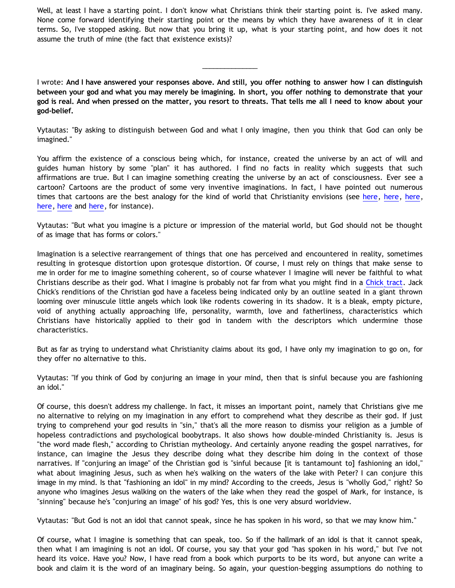Well, at least I have a starting point. I don't know what Christians think their starting point is. I've asked many. None come forward identifying their starting point or the means by which they have awareness of it in clear terms. So, I've stopped asking. But now that you bring it up, what is your starting point, and how does it not assume the truth of mine (the fact that existence exists)?

I wrote: **And I have answered your responses above. And still, you offer nothing to answer how I can distinguish between your god and what you may merely be imagining. In short, you offer nothing to demonstrate that your god is real. And when pressed on the matter, you resort to threats. That tells me all I need to know about your god-belief.**

\_\_\_\_\_\_\_\_\_\_\_\_\_\_\_

Vytautas: "By asking to distinguish between God and what I only imagine, then you think that God can only be imagined."

You affirm the existence of a conscious being which, for instance, created the universe by an act of will and guides human history by some "plan" it has authored. I find no facts in reality which suggests that such affirmations are true. But I can imagine something creating the universe by an act of consciousness. Ever see a cartoon? Cartoons are the product of some very inventive imaginations. In fact, I have pointed out numerous times that cartoons are the best analogy for the kind of world that Christianity envisions (see [here,](http://bahnsenburner.blogspot.com/2006/06/hays-on-cartoon-universe-premise-of.html) [here](http://bahnsenburner.blogspot.com/2006/06/steves-hays-ty-reaction-to-cartoon.html), here, [here,](http://bahnsenburner.blogspot.com/2006/06/strengths-of-cartoon-universe-analogy.html) [here](http://bahnsenburner.blogspot.com/2006/07/metaphysical-subjectivism-and.html) and [here](http://bahnsenburner.blogspot.com/2006/07/metaphysical-subjectivism-and_06.html), for instance).

Vytautas: "But what you imagine is a picture or impression of the material world, but God should not be thought of as image that has forms or colors."

Imagination is a selective rearrangement of things that one has perceived and encountered in reality, sometimes resulting in grotesque distortion upon grotesque distortion. Of course, I must rely on things that make sense to me in order for me to imagine something coherent, so of course whatever I imagine will never be faithful to what Christians describe as their god. What I imagine is probably not far from what you might find in a [Chick tract](http://www.weirdcrap.com/chick/). Jack Chick's renditions of the Christian god have a faceless being indicated only by an outline seated in a giant thrown looming over minuscule little angels which look like rodents cowering in its shadow. It is a bleak, empty picture, void of anything actually approaching life, personality, warmth, love and fatherliness, characteristics which Christians have historically applied to their god in tandem with the descriptors which undermine those characteristics.

But as far as trying to understand what Christianity claims about its god, I have only my imagination to go on, for they offer no alternative to this.

Vytautas: "If you think of God by conjuring an image in your mind, then that is sinful because you are fashioning an idol."

Of course, this doesn't address my challenge. In fact, it misses an important point, namely that Christians give me no alternative to relying on my imagination in any effort to comprehend what they describe as their god. If just trying to comprehend your god results in "sin," that's all the more reason to dismiss your religion as a jumble of hopeless contradictions and psychological boobytraps. It also shows how double-minded Christianity is. Jesus is "the word made flesh," according to Christian mytheology. And certainly anyone reading the gospel narratives, for instance, can imagine the Jesus they describe doing what they describe him doing in the context of those narratives. If "conjuring an image" of the Christian god is "sinful because [it is tantamount to] fashioning an idol," what about imagining Jesus, such as when he's walking on the waters of the lake with Peter? I can conjure this image in my mind. Is that "fashioning an idol" in my mind? According to the creeds, Jesus is "wholly God," right? So anyone who imagines Jesus walking on the waters of the lake when they read the gospel of Mark, for instance, is "sinning" because he's "conjuring an image" of his god? Yes, this is one very absurd worldview.

Vytautas: "But God is not an idol that cannot speak, since he has spoken in his word, so that we may know him."

Of course, what I imagine is something that can speak, too. So if the hallmark of an idol is that it cannot speak, then what I am imagining is not an idol. Of course, you say that your god "has spoken in his word," but I've not heard its voice. Have you? Now, I have read from a book which purports to be its word, but anyone can write a book and claim it is the word of an imaginary being. So again, your question-begging assumptions do nothing to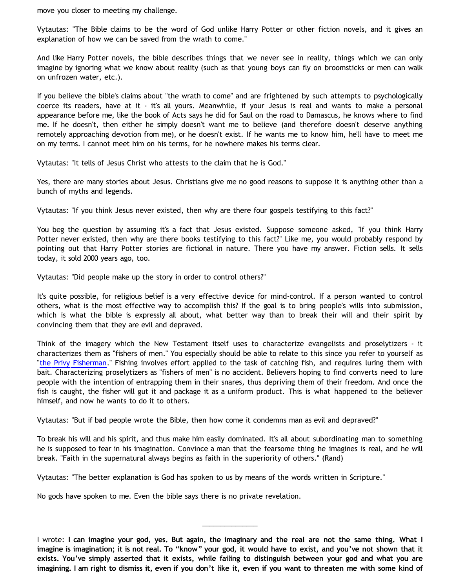move you closer to meeting my challenge.

Vytautas: "The Bible claims to be the word of God unlike Harry Potter or other fiction novels, and it gives an explanation of how we can be saved from the wrath to come."

And like Harry Potter novels, the bible describes things that we never see in reality, things which we can only imagine by ignoring what we know about reality (such as that young boys can fly on broomsticks or men can walk on unfrozen water, etc.).

If you believe the bible's claims about "the wrath to come" and are frightened by such attempts to psychologically coerce its readers, have at it - it's all yours. Meanwhile, if your Jesus is real and wants to make a personal appearance before me, like the book of Acts says he did for Saul on the road to Damascus, he knows where to find me. If he doesn't, then either he simply doesn't want me to believe (and therefore doesn't deserve anything remotely approaching devotion from me), or he doesn't exist. If he wants me to know him, he'll have to meet me on my terms. I cannot meet him on his terms, for he nowhere makes his terms clear.

Vytautas: "It tells of Jesus Christ who attests to the claim that he is God."

Yes, there are many stories about Jesus. Christians give me no good reasons to suppose it is anything other than a bunch of myths and legends.

Vytautas: "If you think Jesus never existed, then why are there four gospels testifying to this fact?"

You beg the question by assuming it's a fact that Jesus existed. Suppose someone asked, "If you think Harry Potter never existed, then why are there books testifying to this fact?" Like me, you would probably respond by pointing out that Harry Potter stories are fictional in nature. There you have my answer. Fiction sells. It sells today, it sold 2000 years ago, too.

Vytautas: "Did people make up the story in order to control others?"

It's quite possible, for religious belief is a very effective device for mind-control. If a person wanted to control others, what is the most effective way to accomplish this? If the goal is to bring people's wills into submission, which is what the bible is expressly all about, what better way than to break their will and their spirit by convincing them that they are evil and depraved.

Think of the imagery which the New Testament itself uses to characterize evangelists and proselytizers - it characterizes them as "fishers of men." You especially should be able to relate to this since you refer to yourself as ["the Privy Fisherman](http://privyfisherman.blogspot.com/)." Fishing involves effort applied to the task of catching fish, and requires luring them with bait. Characterizing proselytizers as "fishers of men" is no accident. Believers hoping to find converts need to lure people with the intention of entrapping them in their snares, thus depriving them of their freedom. And once the fish is caught, the fisher will gut it and package it as a uniform product. This is what happened to the believer himself, and now he wants to do it to others.

Vytautas: "But if bad people wrote the Bible, then how come it condemns man as evil and depraved?"

To break his will and his spirit, and thus make him easily dominated. It's all about subordinating man to something he is supposed to fear in his imagination. Convince a man that the fearsome thing he imagines is real, and he will break. "Faith in the supernatural always begins as faith in the superiority of others." (Rand)

Vytautas: "The better explanation is God has spoken to us by means of the words written in Scripture."

No gods have spoken to me. Even the bible says there is no private revelation.

I wrote: **I can imagine your god, yes. But again, the imaginary and the real are not the same thing. What I imagine is imagination; it is not real. To "know" your god, it would have to exist, and you've not shown that it exists. You've simply asserted that it exists, while failing to distinguish between your god and what you are imagining. I am right to dismiss it, even if you don't like it, even if you want to threaten me with some kind of**

\_\_\_\_\_\_\_\_\_\_\_\_\_\_\_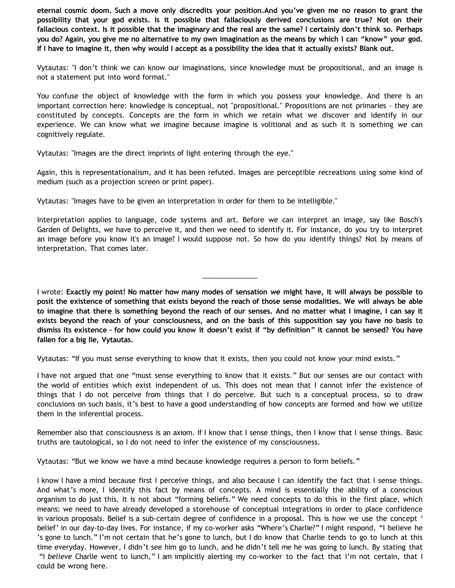**eternal cosmic doom. Such a move only discredits your position.And you've given me no reason to grant the possibility that your god exists. Is it possible that fallaciously derived conclusions are true? Not on their fallacious context. Is it possible that the imaginary and the real are the same? I certainly don't think so. Perhaps you do? Again, you give me no alternative to my own imagination as the means by which I can "know" your god. If I have to imagine it, then why would I accept as a possibility the idea that it actually exists? Blank out.**

Vytautas: "I don't think we can know our imaginations, since knowledge must be propositional, and an image is not a statement put into word format."

You confuse the object of knowledge with the form in which you possess your knowledge. And there is an important correction here: knowledge is conceptual, not "propositional." Propositions are not primaries - they are constituted by concepts. Concepts are the form in which we retain what we discover and identify in our experience. We can know what we imagine because imagine is volitional and as such it is something we can cognitively regulate.

Vytautas: "Images are the direct imprints of light entering through the eye."

Again, this is representationalism, and it has been refuted. Images are perceptible recreations using some kind of medium (such as a projection screen or print paper).

Vytautas: "Images have to be given an interpretation in order for them to be intelligible."

Interpretation applies to language, code systems and art. Before we can interpret an image, say like Bosch's Garden of Delights, we have to perceive it, and then we need to identify it. For instance, do you try to interpret an image before you know it's an image? I would suppose not. So how do you identify things? Not by means of interpretation. That comes later.

I wrote: **Exactly my point! No matter how many modes of sensation we might have, it will always be possible to posit the existence of something that exists beyond the reach of those sense modalities. We will always be able to imagine that there is something beyond the reach of our senses. And no matter what I imagine, I can say it exists beyond the reach of your consciousness, and on the basis of this supposition say you have no basis to dismiss its existence – for how could you know it doesn't exist if "by definition" it cannot be sensed? You have fallen for a big lie, Vytautas.**

\_\_\_\_\_\_\_\_\_\_\_\_\_\_\_

Vytautas: "If you must sense everything to know that it exists, then you could not know your mind exists."

I have not argued that one "must sense everything to know that it exists." But our senses are our contact with the world of entities which exist independent of us. This does not mean that I cannot infer the existence of things that I do not perceive from things that I do perceive. But such is a conceptual process, so to draw conclusions on such basis, it's best to have a good understanding of how concepts are formed and how we utilize them in the inferential process.

Remember also that consciousness is an axiom. If I know that I sense things, then I know that I sense things. Basic truths are tautological, so I do not need to infer the existence of my consciousness.

Vytautas: "But we know we have a mind because knowledge requires a person to form beliefs."

I know I have a mind because first I perceive things, and also because I can identify the fact that I sense things. And what's more, I identify this fact by means of concepts. A mind is essentially the ability of a conscious organism to do just this. It is not about "forming beliefs." We need concepts to do this in the first place, which means: we need to have already developed a storehouse of conceptual integrations in order to place confidence in various proposals. Belief is a sub-certain degree of confidence in a proposal. This is how we use the concept ' belief' in our day-to-day lives. For instance, if my co-worker asks "Where's Charlie?" I might respond, "I believe he 's gone to lunch." I'm not certain that he's gone to lunch, but I do know that Charlie tends to go to lunch at this time everyday. However, I didn't see him go to lunch, and he didn't tell me he was going to lunch. By stating that "I *believe* Charlie went to lunch," I am implicitly alerting my co-worker to the fact that I'm not certain, that I could be wrong here.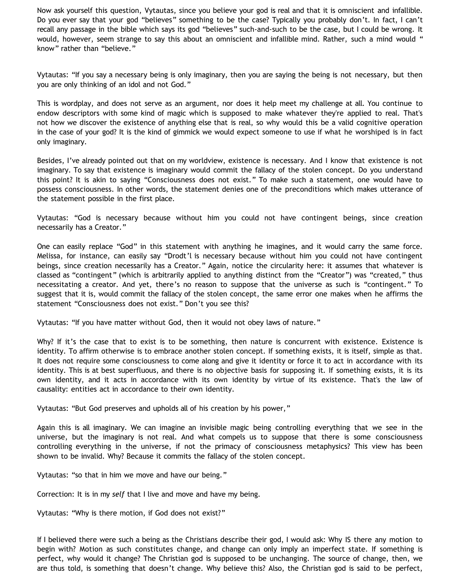Now ask yourself this question, Vytautas, since you believe your god is real and that it is omniscient and infallible. Do you ever say that your god "believes" something to be the case? Typically you probably don't. In fact, I can't recall any passage in the bible which says its god "believes" such-and-such to be the case, but I could be wrong. It would, however, seem strange to say this about an omniscient and infallible mind. Rather, such a mind would " know" rather than "believe."

Vytautas: "If you say a necessary being is only imaginary, then you are saying the being is not necessary, but then you are only thinking of an idol and not God."

This is wordplay, and does not serve as an argument, nor does it help meet my challenge at all. You continue to endow descriptors with some kind of magic which is supposed to make whatever they're applied to real. That's not how we discover the existence of anything else that is real, so why would this be a valid cognitive operation in the case of your god? It is the kind of gimmick we would expect someone to use if what he worshiped is in fact only imaginary.

Besides, I've already pointed out that on my worldview, existence is necessary. And I know that existence is not imaginary. To say that existence is imaginary would commit the fallacy of the stolen concept. Do you understand this point? It is akin to saying "Consciousness does not exist." To make such a statement, one would have to possess consciousness. In other words, the statement denies one of the preconditions which makes utterance of the statement possible in the first place.

Vytautas: "God is necessary because without him you could not have contingent beings, since creation necessarily has a Creator."

One can easily replace "God" in this statement with anything he imagines, and it would carry the same force. Melissa, for instance, can easily say "Drodt'l is necessary because without him you could not have contingent beings, since creation necessarily has a Creator." Again, notice the circularity here: it assumes that whatever is classed as "contingent" (which is arbitrarily applied to anything distinct from the "Creator") was "created," thus necessitating a creator. And yet, there's no reason to suppose that the universe as such is "contingent." To suggest that it is, would commit the fallacy of the stolen concept, the same error one makes when he affirms the statement "Consciousness does not exist." Don't you see this?

Vytautas: "If you have matter without God, then it would not obey laws of nature."

Why? If it's the case that to exist is to be something, then nature is concurrent with existence. Existence is identity. To affirm otherwise is to embrace another stolen concept. If something exists, it is itself, simple as that. It does not require some consciousness to come along and give it identity or force it to act in accordance with its identity. This is at best superfluous, and there is no objective basis for supposing it. If something exists, it is its own identity, and it acts in accordance with its own identity by virtue of its existence. That's the law of causality: entities act in accordance to their own identity.

Vytautas: "But God preserves and upholds all of his creation by his power,"

Again this is all imaginary. We can imagine an invisible magic being controlling everything that we see in the universe, but the imaginary is not real. And what compels us to suppose that there is some consciousness controlling everything in the universe, if not the primacy of consciousness metaphysics? This view has been shown to be invalid. Why? Because it commits the fallacy of the stolen concept.

Vytautas: "so that in him we move and have our being."

Correction: It is in my *self* that I live and move and have my being.

Vytautas: "Why is there motion, if God does not exist?"

If I believed there were such a being as the Christians describe their god, I would ask: Why IS there any motion to begin with? Motion as such constitutes change, and change can only imply an imperfect state. If something is perfect, why would it change? The Christian god is supposed to be unchanging. The source of change, then, we are thus told, is something that doesn't change. Why believe this? Also, the Christian god is said to be perfect,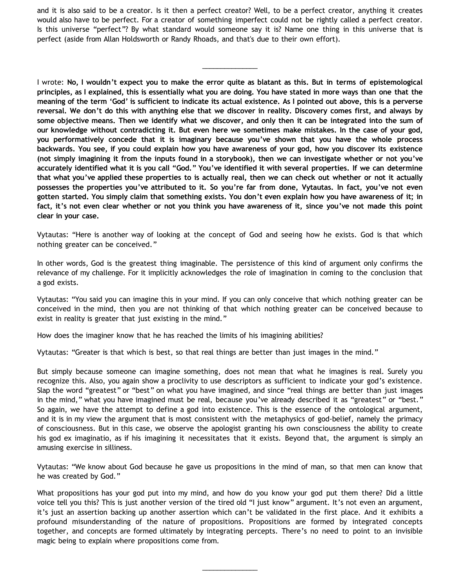and it is also said to be a creator. Is it then a perfect creator? Well, to be a perfect creator, anything it creates would also have to be perfect. For a creator of something imperfect could not be rightly called a perfect creator. Is this universe "perfect"? By what standard would someone say it is? Name one thing in this universe that is perfect (aside from Allan Holdsworth or Randy Rhoads, and that's due to their own effort).

\_\_\_\_\_\_\_\_\_\_\_\_\_\_\_

I wrote: **No, I wouldn't expect you to make the error quite as blatant as this. But in terms of epistemological principles, as I explained, this is essentially what you are doing. You have stated in more ways than one that the meaning of the term 'God' is sufficient to indicate its actual existence. As I pointed out above, this is a perverse reversal. We don't do this with anything else that we discover in reality. Discovery comes first, and always by some objective means. Then we identify what we discover, and only then it can be integrated into the sum of our knowledge without contradicting it. But even here we sometimes make mistakes. In the case of your god, you performatively concede that it is imaginary because you've shown that you have the whole process backwards. You see, if you could explain how you have awareness of your god, how you discover its existence (not simply imagining it from the inputs found in a storybook), then we can investigate whether or not you've accurately identified what it is you call "God." You've identified it with several properties. If we can determine that what you've applied these properties to is actually real, then we can check out whether or not it actually possesses the properties you've attributed to it. So you're far from done, Vytautas. In fact, you've not even gotten started. You simply claim that something exists. You don't even explain how you have awareness of it; in fact, it's not even clear whether or not you think you have awareness of it, since you've not made this point clear in your case.**

Vytautas: "Here is another way of looking at the concept of God and seeing how he exists. God is that which nothing greater can be conceived."

In other words, God is the greatest thing imaginable. The persistence of this kind of argument only confirms the relevance of my challenge. For it implicitly acknowledges the role of imagination in coming to the conclusion that a god exists.

Vytautas: "You said you can imagine this in your mind. If you can only conceive that which nothing greater can be conceived in the mind, then you are not thinking of that which nothing greater can be conceived because to exist in reality is greater that just existing in the mind."

How does the imaginer know that he has reached the limits of his imagining abilities?

Vytautas: "Greater is that which is best, so that real things are better than just images in the mind."

But simply because someone can imagine something, does not mean that what he imagines is real. Surely you recognize this. Also, you again show a proclivity to use descriptors as sufficient to indicate your god's existence. Slap the word "greatest" or "best" on what you have imagined, and since "real things are better than just images in the mind," what you have imagined must be real, because you've already described it as "greatest" or "best." So again, we have the attempt to define a god into existence. This is the essence of the ontological argument, and it is in my view the argument that is most consistent with the metaphysics of god-belief, namely the primacy of consciousness. But in this case, we observe the apologist granting his own consciousness the ability to create his god ex imaginatio, as if his imagining it necessitates that it exists. Beyond that, the argument is simply an amusing exercise in silliness.

Vytautas: "We know about God because he gave us propositions in the mind of man, so that men can know that he was created by God."

What propositions has your god put into my mind, and how do you know your god put them there? Did a little voice tell you this? This is just another version of the tired old "I just know" argument. It's not even an argument, it's just an assertion backing up another assertion which can't be validated in the first place. And it exhibits a profound misunderstanding of the nature of propositions. Propositions are formed by integrated concepts together, and concepts are formed ultimately by integrating percepts. There's no need to point to an invisible magic being to explain where propositions come from.

\_\_\_\_\_\_\_\_\_\_\_\_\_\_\_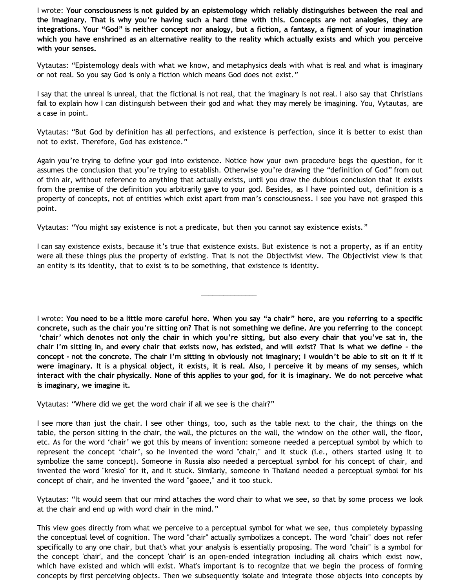I wrote: **Your consciousness is not guided by an epistemology which reliably distinguishes between the real and the imaginary. That is why you're having such a hard time with this. Concepts are not analogies, they are integrations. Your "God" is neither concept nor analogy, but a fiction, a fantasy, a figment of your imagination which you have enshrined as an alternative reality to the reality which actually exists and which you perceive with your senses.**

Vytautas: "Epistemology deals with what we know, and metaphysics deals with what is real and what is imaginary or not real. So you say God is only a fiction which means God does not exist."

I say that the unreal is unreal, that the fictional is not real, that the imaginary is not real. I also say that Christians fail to explain how I can distinguish between their god and what they may merely be imagining. You, Vytautas, are a case in point.

Vytautas: "But God by definition has all perfections, and existence is perfection, since it is better to exist than not to exist. Therefore, God has existence."

Again you're trying to define your god into existence. Notice how your own procedure begs the question, for it assumes the conclusion that you're trying to establish. Otherwise you're drawing the "definition of God" from out of thin air, without reference to anything that actually exists, until you draw the dubious conclusion that it exists from the premise of the definition you arbitrarily gave to your god. Besides, as I have pointed out, definition is a property of concepts, not of entities which exist apart from man's consciousness. I see you have not grasped this point.

Vytautas: "You might say existence is not a predicate, but then you cannot say existence exists."

I can say existence exists, because it's true that existence exists. But existence is not a property, as if an entity were all these things plus the property of existing. That is not the Objectivist view. The Objectivist view is that an entity is its identity, that to exist is to be something, that existence is identity.

\_\_\_\_\_\_\_\_\_\_\_\_\_\_\_

I wrote: **You need to be a little more careful here. When you say "a chair" here, are you referring to a specific concrete, such as the chair you're sitting on? That is not something we define. Are you referring to the concept 'chair' which denotes not only the chair in which you're sitting, but also every chair that you've sat in, the chair I'm sitting in, and every chair that exists now, has existed, and will exist? That is what we define – the concept - not the concrete. The chair I'm sitting in obviously not imaginary; I wouldn't be able to sit on it if it were imaginary. It is a physical object, it exists, it is real. Also, I perceive it by means of my senses, which interact with the chair physically. None of this applies to your god, for it is imaginary. We do not perceive what is imaginary, we imagine it.**

Vytautas: "Where did we get the word chair if all we see is the chair?"

I see more than just the chair. I see other things, too, such as the table next to the chair, the things on the table, the person sitting in the chair, the wall, the pictures on the wall, the window on the other wall, the floor, etc. As for the word 'chair' we got this by means of invention: someone needed a perceptual symbol by which to represent the concept 'chair', so he invented the word "chair," and it stuck (i.e., others started using it to symbolize the same concept). Someone in Russia also needed a perceptual symbol for his concept of chair, and invented the word "kreslo" for it, and it stuck. Similarly, someone in Thailand needed a perceptual symbol for his concept of chair, and he invented the word "gaoee," and it too stuck.

Vytautas: "It would seem that our mind attaches the word chair to what we see, so that by some process we look at the chair and end up with word chair in the mind."

This view goes directly from what we perceive to a perceptual symbol for what we see, thus completely bypassing the conceptual level of cognition. The word "chair" actually symbolizes a concept. The word "chair" does not refer specifically to any one chair, but that's what your analysis is essentially proposing. The word "chair" is a symbol for the concept 'chair', and the concept 'chair' is an open-ended integration including all chairs which exist now, which have existed and which will exist. What's important is to recognize that we begin the process of forming concepts by first perceiving objects. Then we subsequently isolate and integrate those objects into concepts by